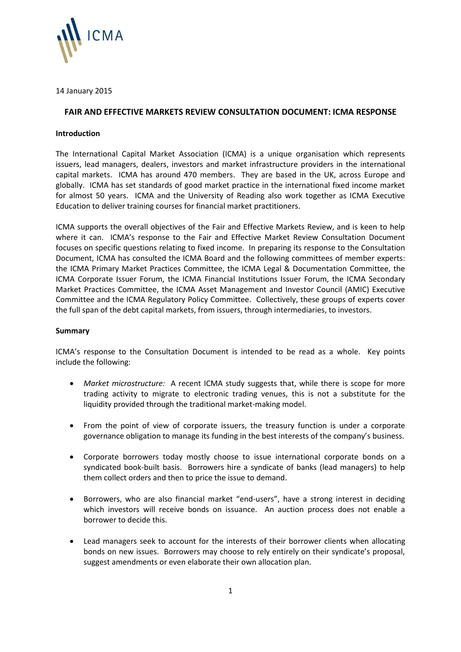

14 January 2015

### **FAIR AND EFFECTIVE MARKETS REVIEW CONSULTATION DOCUMENT: ICMA RESPONSE**

### **Introduction**

The International Capital Market Association (ICMA) is a unique organisation which represents issuers, lead managers, dealers, investors and market infrastructure providers in the international capital markets. ICMA has around 470 members. They are based in the UK, across Europe and globally. ICMA has set standards of good market practice in the international fixed income market for almost 50 years. ICMA and the University of Reading also work together as ICMA Executive Education to deliver training courses for financial market practitioners.

ICMA supports the overall objectives of the Fair and Effective Markets Review, and is keen to help where it can. ICMA's response to the Fair and Effective Market Review Consultation Document focuses on specific questions relating to fixed income. In preparing its response to the Consultation Document, ICMA has consulted the ICMA Board and the following committees of member experts: the ICMA Primary Market Practices Committee, the ICMA Legal & Documentation Committee, the ICMA Corporate Issuer Forum, the ICMA Financial Institutions Issuer Forum, the ICMA Secondary Market Practices Committee, the ICMA Asset Management and Investor Council (AMIC) Executive Committee and the ICMA Regulatory Policy Committee. Collectively, these groups of experts cover the full span of the debt capital markets, from issuers, through intermediaries, to investors.

### **Summary**

ICMA's response to the Consultation Document is intended to be read as a whole. Key points include the following:

- *Market microstructure:* A recent ICMA study suggests that, while there is scope for more trading activity to migrate to electronic trading venues, this is not a substitute for the liquidity provided through the traditional market-making model.
- From the point of view of corporate issuers, the treasury function is under a corporate governance obligation to manage its funding in the best interests of the company's business.
- Corporate borrowers today mostly choose to issue international corporate bonds on a syndicated book-built basis. Borrowers hire a syndicate of banks (lead managers) to help them collect orders and then to price the issue to demand.
- Borrowers, who are also financial market "end-users", have a strong interest in deciding which investors will receive bonds on issuance. An auction process does not enable a borrower to decide this.
- Lead managers seek to account for the interests of their borrower clients when allocating bonds on new issues. Borrowers may choose to rely entirely on their syndicate's proposal, suggest amendments or even elaborate their own allocation plan.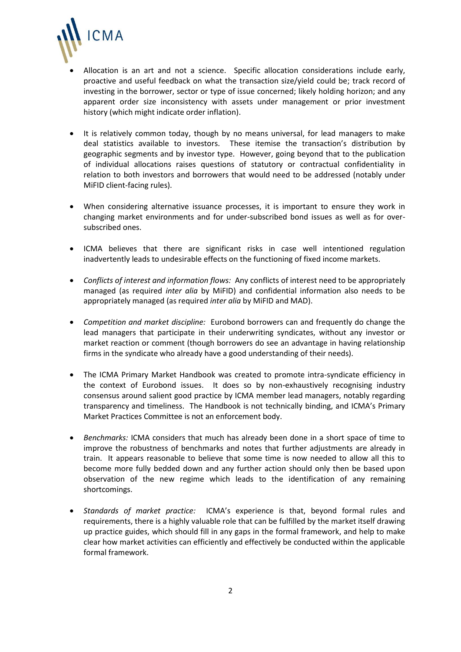

- Allocation is an art and not a science. Specific allocation considerations include early, proactive and useful feedback on what the transaction size/yield could be; track record of investing in the borrower, sector or type of issue concerned; likely holding horizon; and any apparent order size inconsistency with assets under management or prior investment history (which might indicate order inflation).
- It is relatively common today, though by no means universal, for lead managers to make deal statistics available to investors. These itemise the transaction's distribution by geographic segments and by investor type. However, going beyond that to the publication of individual allocations raises questions of statutory or contractual confidentiality in relation to both investors and borrowers that would need to be addressed (notably under MiFID client-facing rules).
- When considering alternative issuance processes, it is important to ensure they work in changing market environments and for under-subscribed bond issues as well as for oversubscribed ones.
- ICMA believes that there are significant risks in case well intentioned regulation inadvertently leads to undesirable effects on the functioning of fixed income markets.
- *Conflicts of interest and information flows:* Any conflicts of interest need to be appropriately managed (as required *inter alia* by MiFID) and confidential information also needs to be appropriately managed (as required *inter alia* by MiFID and MAD).
- *Competition and market discipline:* Eurobond borrowers can and frequently do change the lead managers that participate in their underwriting syndicates, without any investor or market reaction or comment (though borrowers do see an advantage in having relationship firms in the syndicate who already have a good understanding of their needs).
- The ICMA Primary Market Handbook was created to promote intra-syndicate efficiency in the context of Eurobond issues. It does so by non-exhaustively recognising industry consensus around salient good practice by ICMA member lead managers, notably regarding transparency and timeliness. The Handbook is not technically binding, and ICMA's Primary Market Practices Committee is not an enforcement body.
- *Benchmarks:* ICMA considers that much has already been done in a short space of time to improve the robustness of benchmarks and notes that further adjustments are already in train. It appears reasonable to believe that some time is now needed to allow all this to become more fully bedded down and any further action should only then be based upon observation of the new regime which leads to the identification of any remaining shortcomings.
- *Standards of market practice:* ICMA's experience is that, beyond formal rules and requirements, there is a highly valuable role that can be fulfilled by the market itself drawing up practice guides, which should fill in any gaps in the formal framework, and help to make clear how market activities can efficiently and effectively be conducted within the applicable formal framework.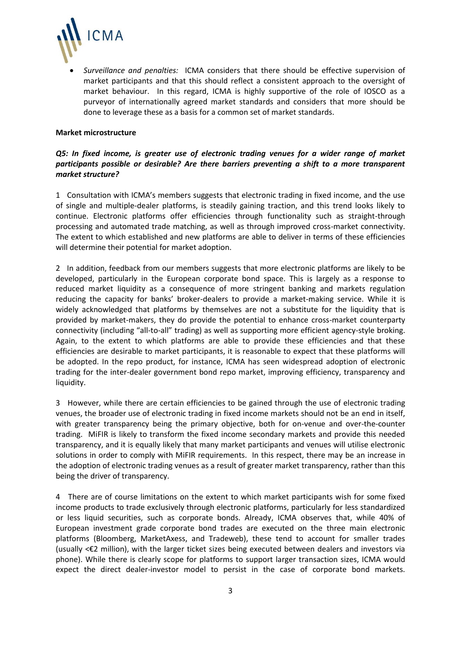

 *Surveillance and penalties:* ICMA considers that there should be effective supervision of market participants and that this should reflect a consistent approach to the oversight of market behaviour. In this regard, ICMA is highly supportive of the role of IOSCO as a purveyor of internationally agreed market standards and considers that more should be done to leverage these as a basis for a common set of market standards.

#### **Market microstructure**

## *Q5: In fixed income, is greater use of electronic trading venues for a wider range of market participants possible or desirable? Are there barriers preventing a shift to a more transparent market structure?*

1 Consultation with ICMA's members suggests that electronic trading in fixed income, and the use of single and multiple-dealer platforms, is steadily gaining traction, and this trend looks likely to continue. Electronic platforms offer efficiencies through functionality such as straight-through processing and automated trade matching, as well as through improved cross-market connectivity. The extent to which established and new platforms are able to deliver in terms of these efficiencies will determine their potential for market adoption.

2 In addition, feedback from our members suggests that more electronic platforms are likely to be developed, particularly in the European corporate bond space. This is largely as a response to reduced market liquidity as a consequence of more stringent banking and markets regulation reducing the capacity for banks' broker-dealers to provide a market-making service. While it is widely acknowledged that platforms by themselves are not a substitute for the liquidity that is provided by market-makers, they do provide the potential to enhance cross-market counterparty connectivity (including "all-to-all" trading) as well as supporting more efficient agency-style broking. Again, to the extent to which platforms are able to provide these efficiencies and that these efficiencies are desirable to market participants, it is reasonable to expect that these platforms will be adopted. In the repo product, for instance, ICMA has seen widespread adoption of electronic trading for the inter-dealer government bond repo market, improving efficiency, transparency and liquidity.

3 However, while there are certain efficiencies to be gained through the use of electronic trading venues, the broader use of electronic trading in fixed income markets should not be an end in itself, with greater transparency being the primary objective, both for on-venue and over-the-counter trading. MiFIR is likely to transform the fixed income secondary markets and provide this needed transparency, and it is equally likely that many market participants and venues will utilise electronic solutions in order to comply with MiFIR requirements. In this respect, there may be an increase in the adoption of electronic trading venues as a result of greater market transparency, rather than this being the driver of transparency.

4 There are of course limitations on the extent to which market participants wish for some fixed income products to trade exclusively through electronic platforms, particularly for less standardized or less liquid securities, such as corporate bonds. Already, ICMA observes that, while 40% of European investment grade corporate bond trades are executed on the three main electronic platforms (Bloomberg, MarketAxess, and Tradeweb), these tend to account for smaller trades (usually <€2 million), with the larger ticket sizes being executed between dealers and investors via phone). While there is clearly scope for platforms to support larger transaction sizes, ICMA would expect the direct dealer-investor model to persist in the case of corporate bond markets.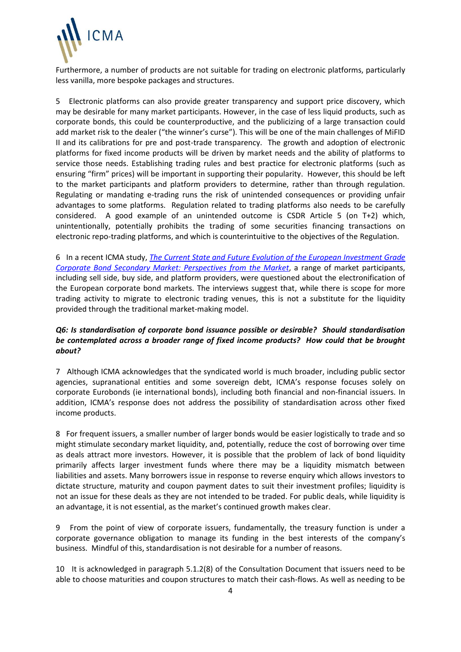

Furthermore, a number of products are not suitable for trading on electronic platforms, particularly less vanilla, more bespoke packages and structures.

5 Electronic platforms can also provide greater transparency and support price discovery, which may be desirable for many market participants. However, in the case of less liquid products, such as corporate bonds, this could be counterproductive, and the publicizing of a large transaction could add market risk to the dealer ("the winner's curse"). This will be one of the main challenges of MiFID II and its calibrations for pre and post-trade transparency. The growth and adoption of electronic platforms for fixed income products will be driven by market needs and the ability of platforms to service those needs. Establishing trading rules and best practice for electronic platforms (such as ensuring "firm" prices) will be important in supporting their popularity. However, this should be left to the market participants and platform providers to determine, rather than through regulation. Regulating or mandating e-trading runs the risk of unintended consequences or providing unfair advantages to some platforms. Regulation related to trading platforms also needs to be carefully considered. A good example of an unintended outcome is CSDR Article 5 (on T+2) which, unintentionally, potentially prohibits the trading of some securities financing transactions on electronic repo-trading platforms, and which is counterintuitive to the objectives of the Regulation.

6 In a recent ICMA study, *[The Current State and Future Evolution of the European Investment Grade](http://www.icmagroup.org/assets/documents/Regulatory/Secondary-markets/The-state-of-the-European-investment-grade-corporate-bond-secondary-market_ICMA-SMPC_Report-251114-Final3.pdf)  [Corporate Bond Secondary Market: Perspectives from the Market](http://www.icmagroup.org/assets/documents/Regulatory/Secondary-markets/The-state-of-the-European-investment-grade-corporate-bond-secondary-market_ICMA-SMPC_Report-251114-Final3.pdf)*, a range of market participants, including sell side, buy side, and platform providers, were questioned about the electronification of the European corporate bond markets. The interviews suggest that, while there is scope for more trading activity to migrate to electronic trading venues, this is not a substitute for the liquidity provided through the traditional market-making model.

## *Q6: Is standardisation of corporate bond issuance possible or desirable? Should standardisation be contemplated across a broader range of fixed income products? How could that be brought about?*

7 Although ICMA acknowledges that the syndicated world is much broader, including public sector agencies, supranational entities and some sovereign debt, ICMA's response focuses solely on corporate Eurobonds (ie international bonds), including both financial and non-financial issuers. In addition, ICMA's response does not address the possibility of standardisation across other fixed income products.

8 For frequent issuers, a smaller number of larger bonds would be easier logistically to trade and so might stimulate secondary market liquidity, and, potentially, reduce the cost of borrowing over time as deals attract more investors. However, it is possible that the problem of lack of bond liquidity primarily affects larger investment funds where there may be a liquidity mismatch between liabilities and assets. Many borrowers issue in response to reverse enquiry which allows investors to dictate structure, maturity and coupon payment dates to suit their investment profiles; liquidity is not an issue for these deals as they are not intended to be traded. For public deals, while liquidity is an advantage, it is not essential, as the market's continued growth makes clear.

9 From the point of view of corporate issuers, fundamentally, the treasury function is under a corporate governance obligation to manage its funding in the best interests of the company's business. Mindful of this, standardisation is not desirable for a number of reasons.

10 It is acknowledged in paragraph 5.1.2(8) of the Consultation Document that issuers need to be able to choose maturities and coupon structures to match their cash-flows. As well as needing to be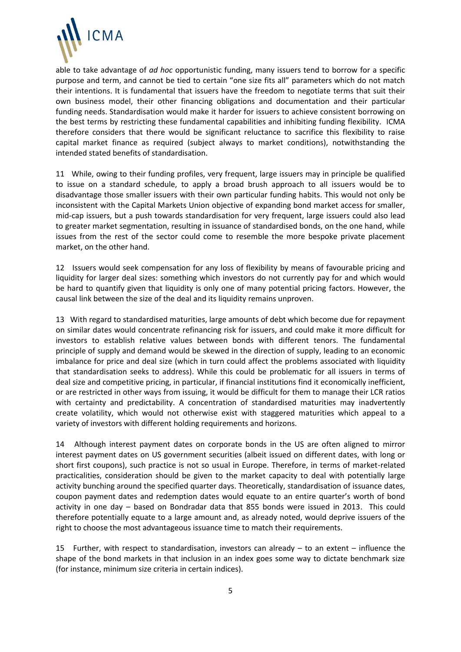

able to take advantage of *ad hoc* opportunistic funding, many issuers tend to borrow for a specific purpose and term, and cannot be tied to certain "one size fits all" parameters which do not match their intentions. It is fundamental that issuers have the freedom to negotiate terms that suit their own business model, their other financing obligations and documentation and their particular funding needs. Standardisation would make it harder for issuers to achieve consistent borrowing on the best terms by restricting these fundamental capabilities and inhibiting funding flexibility. ICMA therefore considers that there would be significant reluctance to sacrifice this flexibility to raise capital market finance as required (subject always to market conditions), notwithstanding the intended stated benefits of standardisation.

11 While, owing to their funding profiles, very frequent, large issuers may in principle be qualified to issue on a standard schedule, to apply a broad brush approach to all issuers would be to disadvantage those smaller issuers with their own particular funding habits. This would not only be inconsistent with the Capital Markets Union objective of expanding bond market access for smaller, mid-cap issuers, but a push towards standardisation for very frequent, large issuers could also lead to greater market segmentation, resulting in issuance of standardised bonds, on the one hand, while issues from the rest of the sector could come to resemble the more bespoke private placement market, on the other hand.

12 Issuers would seek compensation for any loss of flexibility by means of favourable pricing and liquidity for larger deal sizes: something which investors do not currently pay for and which would be hard to quantify given that liquidity is only one of many potential pricing factors. However, the causal link between the size of the deal and its liquidity remains unproven.

13 With regard to standardised maturities, large amounts of debt which become due for repayment on similar dates would concentrate refinancing risk for issuers, and could make it more difficult for investors to establish relative values between bonds with different tenors. The fundamental principle of supply and demand would be skewed in the direction of supply, leading to an economic imbalance for price and deal size (which in turn could affect the problems associated with liquidity that standardisation seeks to address). While this could be problematic for all issuers in terms of deal size and competitive pricing, in particular, if financial institutions find it economically inefficient, or are restricted in other ways from issuing, it would be difficult for them to manage their LCR ratios with certainty and predictability. A concentration of standardised maturities may inadvertently create volatility, which would not otherwise exist with staggered maturities which appeal to a variety of investors with different holding requirements and horizons.

14 Although interest payment dates on corporate bonds in the US are often aligned to mirror interest payment dates on US government securities (albeit issued on different dates, with long or short first coupons), such practice is not so usual in Europe. Therefore, in terms of market-related practicalities, consideration should be given to the market capacity to deal with potentially large activity bunching around the specified quarter days. Theoretically, standardisation of issuance dates, coupon payment dates and redemption dates would equate to an entire quarter's worth of bond activity in one day – based on Bondradar data that 855 bonds were issued in 2013. This could therefore potentially equate to a large amount and, as already noted, would deprive issuers of the right to choose the most advantageous issuance time to match their requirements.

15 Further, with respect to standardisation, investors can already – to an extent – influence the shape of the bond markets in that inclusion in an index goes some way to dictate benchmark size (for instance, minimum size criteria in certain indices).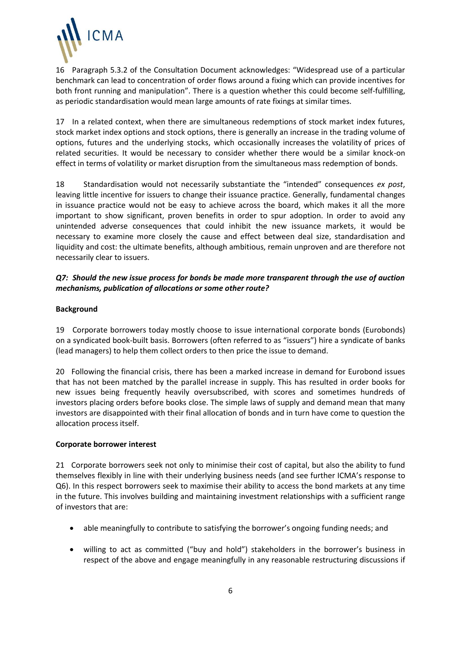

16 Paragraph 5.3.2 of the Consultation Document acknowledges: "Widespread use of a particular benchmark can lead to concentration of order flows around a fixing which can provide incentives for both front running and manipulation". There is a question whether this could become self-fulfilling, as periodic standardisation would mean large amounts of rate fixings at similar times.

17 In a related context, when there are simultaneous redemptions of stock market index futures, stock market index options and stock options, there is generally an increase in the trading volume of options, futures and the underlying stocks, which occasionally increases the volatility of prices of related securities. It would be necessary to consider whether there would be a similar knock-on effect in terms of volatility or market disruption from the simultaneous mass redemption of bonds.

18 Standardisation would not necessarily substantiate the "intended" consequences *ex post*, leaving little incentive for issuers to change their issuance practice. Generally, fundamental changes in issuance practice would not be easy to achieve across the board, which makes it all the more important to show significant, proven benefits in order to spur adoption. In order to avoid any unintended adverse consequences that could inhibit the new issuance markets, it would be necessary to examine more closely the cause and effect between deal size, standardisation and liquidity and cost: the ultimate benefits, although ambitious, remain unproven and are therefore not necessarily clear to issuers.

# *Q7: Should the new issue process for bonds be made more transparent through the use of auction mechanisms, publication of allocations or some other route?*

## **Background**

19 Corporate borrowers today mostly choose to issue international corporate bonds (Eurobonds) on a syndicated book-built basis. Borrowers (often referred to as "issuers") hire a syndicate of banks (lead managers) to help them collect orders to then price the issue to demand.

20 Following the financial crisis, there has been a marked increase in demand for Eurobond issues that has not been matched by the parallel increase in supply. This has resulted in order books for new issues being frequently heavily oversubscribed, with scores and sometimes hundreds of investors placing orders before books close. The simple laws of supply and demand mean that many investors are disappointed with their final allocation of bonds and in turn have come to question the allocation process itself.

### **Corporate borrower interest**

21 Corporate borrowers seek not only to minimise their cost of capital, but also the ability to fund themselves flexibly in line with their underlying business needs (and see further ICMA's response to Q6). In this respect borrowers seek to maximise their ability to access the bond markets at any time in the future. This involves building and maintaining investment relationships with a sufficient range of investors that are:

- able meaningfully to contribute to satisfying the borrower's ongoing funding needs; and
- willing to act as committed ("buy and hold") stakeholders in the borrower's business in respect of the above and engage meaningfully in any reasonable restructuring discussions if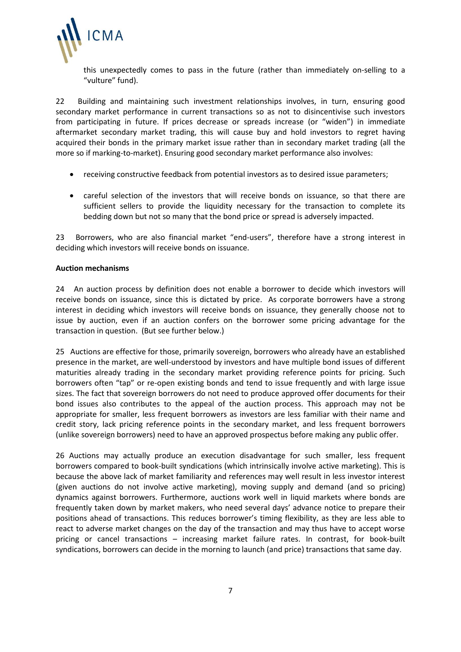

this unexpectedly comes to pass in the future (rather than immediately on-selling to a "vulture" fund).

22 Building and maintaining such investment relationships involves, in turn, ensuring good secondary market performance in current transactions so as not to disincentivise such investors from participating in future. If prices decrease or spreads increase (or "widen") in immediate aftermarket secondary market trading, this will cause buy and hold investors to regret having acquired their bonds in the primary market issue rather than in secondary market trading (all the more so if marking-to-market). Ensuring good secondary market performance also involves:

- receiving constructive feedback from potential investors as to desired issue parameters;
- careful selection of the investors that will receive bonds on issuance, so that there are sufficient sellers to provide the liquidity necessary for the transaction to complete its bedding down but not so many that the bond price or spread is adversely impacted.

23 Borrowers, who are also financial market "end-users", therefore have a strong interest in deciding which investors will receive bonds on issuance.

#### **Auction mechanisms**

24 An auction process by definition does not enable a borrower to decide which investors will receive bonds on issuance, since this is dictated by price. As corporate borrowers have a strong interest in deciding which investors will receive bonds on issuance, they generally choose not to issue by auction, even if an auction confers on the borrower some pricing advantage for the transaction in question. (But see further below.)

25 Auctions are effective for those, primarily sovereign, borrowers who already have an established presence in the market, are well-understood by investors and have multiple bond issues of different maturities already trading in the secondary market providing reference points for pricing. Such borrowers often "tap" or re-open existing bonds and tend to issue frequently and with large issue sizes. The fact that sovereign borrowers do not need to produce approved offer documents for their bond issues also contributes to the appeal of the auction process. This approach may not be appropriate for smaller, less frequent borrowers as investors are less familiar with their name and credit story, lack pricing reference points in the secondary market, and less frequent borrowers (unlike sovereign borrowers) need to have an approved prospectus before making any public offer.

26 Auctions may actually produce an execution disadvantage for such smaller, less frequent borrowers compared to book-built syndications (which intrinsically involve active marketing). This is because the above lack of market familiarity and references may well result in less investor interest (given auctions do not involve active marketing), moving supply and demand (and so pricing) dynamics against borrowers. Furthermore, auctions work well in liquid markets where bonds are frequently taken down by market makers, who need several days' advance notice to prepare their positions ahead of transactions. This reduces borrower's timing flexibility, as they are less able to react to adverse market changes on the day of the transaction and may thus have to accept worse pricing or cancel transactions – increasing market failure rates. In contrast, for book-built syndications, borrowers can decide in the morning to launch (and price) transactions that same day.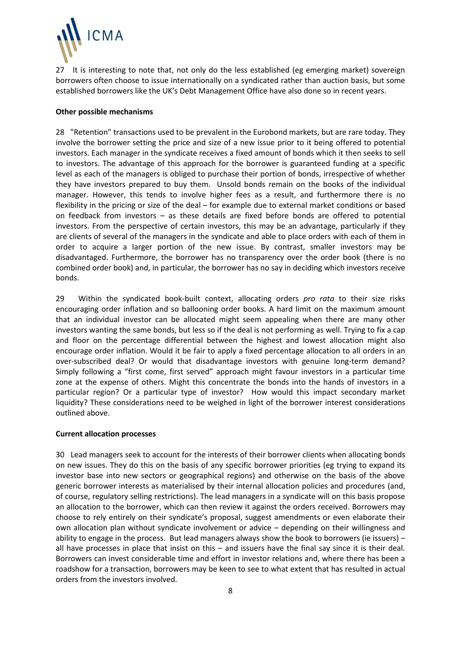

27 It is interesting to note that, not only do the less established (eg emerging market) sovereign borrowers often choose to issue internationally on a syndicated rather than auction basis, but some established borrowers like the UK's Debt Management Office have also done so in recent years.

#### **Other possible mechanisms**

28 "Retention" transactions used to be prevalent in the Eurobond markets, but are rare today. They involve the borrower setting the price and size of a new issue prior to it being offered to potential investors. Each manager in the syndicate receives a fixed amount of bonds which it then seeks to sell to investors. The advantage of this approach for the borrower is guaranteed funding at a specific level as each of the managers is obliged to purchase their portion of bonds, irrespective of whether they have investors prepared to buy them. Unsold bonds remain on the books of the individual manager. However, this tends to involve higher fees as a result, and furthermore there is no flexibility in the pricing or size of the deal – for example due to external market conditions or based on feedback from investors – as these details are fixed before bonds are offered to potential investors. From the perspective of certain investors, this may be an advantage, particularly if they are clients of several of the managers in the syndicate and able to place orders with each of them in order to acquire a larger portion of the new issue. By contrast, smaller investors may be disadvantaged. Furthermore, the borrower has no transparency over the order book (there is no combined order book) and, in particular, the borrower has no say in deciding which investors receive bonds.

29 Within the syndicated book-built context, allocating orders *pro rata* to their size risks encouraging order inflation and so ballooning order books. A hard limit on the maximum amount that an individual investor can be allocated might seem appealing when there are many other investors wanting the same bonds, but less so if the deal is not performing as well. Trying to fix a cap and floor on the percentage differential between the highest and lowest allocation might also encourage order inflation. Would it be fair to apply a fixed percentage allocation to all orders in an over-subscribed deal? Or would that disadvantage investors with genuine long-term demand? Simply following a "first come, first served" approach might favour investors in a particular time zone at the expense of others. Might this concentrate the bonds into the hands of investors in a particular region? Or a particular type of investor? How would this impact secondary market liquidity? These considerations need to be weighed in light of the borrower interest considerations outlined above.

### **Current allocation processes**

30 Lead managers seek to account for the interests of their borrower clients when allocating bonds on new issues. They do this on the basis of any specific borrower priorities (eg trying to expand its investor base into new sectors or geographical regions) and otherwise on the basis of the above generic borrower interests as materialised by their internal allocation policies and procedures (and, of course, regulatory selling restrictions). The lead managers in a syndicate will on this basis propose an allocation to the borrower, which can then review it against the orders received. Borrowers may choose to rely entirely on their syndicate's proposal, suggest amendments or even elaborate their own allocation plan without syndicate involvement or advice – depending on their willingness and ability to engage in the process. But lead managers always show the book to borrowers (ie issuers) – all have processes in place that insist on this – and issuers have the final say since it is their deal. Borrowers can invest considerable time and effort in investor relations and, where there has been a roadshow for a transaction, borrowers may be keen to see to what extent that has resulted in actual orders from the investors involved.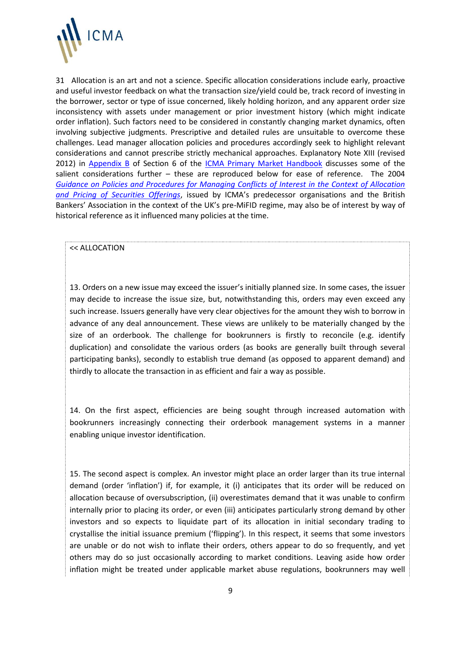

31 Allocation is an art and not a science. Specific allocation considerations include early, proactive and useful investor feedback on what the transaction size/yield could be, track record of investing in the borrower, sector or type of issue concerned, likely holding horizon, and any apparent order size inconsistency with assets under management or prior investment history (which might indicate order inflation). Such factors need to be considered in constantly changing market dynamics, often involving subjective judgments. Prescriptive and detailed rules are unsuitable to overcome these challenges. Lead manager allocation policies and procedures accordingly seek to highlight relevant considerations and cannot prescribe strictly mechanical approaches. Explanatory Note XIII (revised 2012) in [Appendix B](http://www.icmagroup.org/assets/documents/Legal/IPMA-Handbook/ICMA-PMHbk-S6-B.PDF) of Section 6 of the **ICMA Primary Market Handbook** discusses some of the salient considerations further – these are reproduced below for ease of reference. The 2004 *[Guidance on Policies and Procedures for Managing Conflicts of Interest in the Context of Allocation](http://www.icmagroup.org/assets/documents/Guidance%20Paper%2029%20April%202004.PDF)  [and Pricing of Securities Offerings](http://www.icmagroup.org/assets/documents/Guidance%20Paper%2029%20April%202004.PDF)*, issued by ICMA's predecessor organisations and the British Bankers' Association in the context of the UK's pre-MiFID regime, may also be of interest by way of historical reference as it influenced many policies at the time.

#### << ALLOCATION

13. Orders on a new issue may exceed the issuer's initially planned size. In some cases, the issuer may decide to increase the issue size, but, notwithstanding this, orders may even exceed any such increase. Issuers generally have very clear objectives for the amount they wish to borrow in advance of any deal announcement. These views are unlikely to be materially changed by the size of an orderbook. The challenge for bookrunners is firstly to reconcile (e.g. identify duplication) and consolidate the various orders (as books are generally built through several participating banks), secondly to establish true demand (as opposed to apparent demand) and thirdly to allocate the transaction in as efficient and fair a way as possible.

14. On the first aspect, efficiencies are being sought through increased automation with bookrunners increasingly connecting their orderbook management systems in a manner enabling unique investor identification.

15. The second aspect is complex. An investor might place an order larger than its true internal demand (order 'inflation') if, for example, it (i) anticipates that its order will be reduced on allocation because of oversubscription, (ii) overestimates demand that it was unable to confirm internally prior to placing its order, or even (iii) anticipates particularly strong demand by other investors and so expects to liquidate part of its allocation in initial secondary trading to crystallise the initial issuance premium ('flipping'). In this respect, it seems that some investors are unable or do not wish to inflate their orders, others appear to do so frequently, and yet others may do so just occasionally according to market conditions. Leaving aside how order inflation might be treated under applicable market abuse regulations, bookrunners may well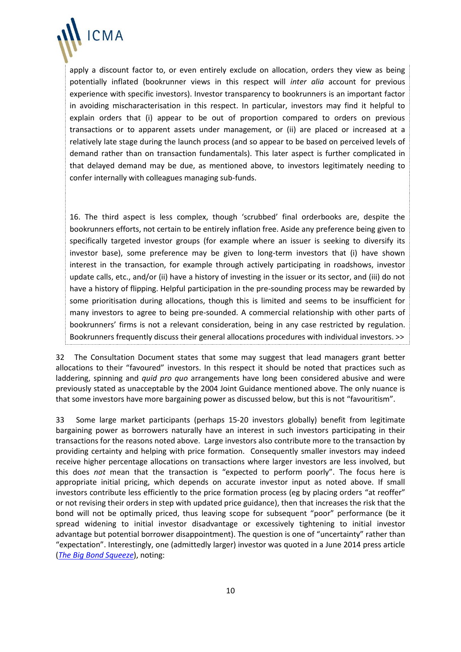

apply a discount factor to, or even entirely exclude on allocation, orders they view as being potentially inflated (bookrunner views in this respect will *inter alia* account for previous experience with specific investors). Investor transparency to bookrunners is an important factor in avoiding mischaracterisation in this respect. In particular, investors may find it helpful to explain orders that (i) appear to be out of proportion compared to orders on previous transactions or to apparent assets under management, or (ii) are placed or increased at a relatively late stage during the launch process (and so appear to be based on perceived levels of demand rather than on transaction fundamentals). This later aspect is further complicated in that delayed demand may be due, as mentioned above, to investors legitimately needing to confer internally with colleagues managing sub-funds.

16. The third aspect is less complex, though 'scrubbed' final orderbooks are, despite the bookrunners efforts, not certain to be entirely inflation free. Aside any preference being given to specifically targeted investor groups (for example where an issuer is seeking to diversify its investor base), some preference may be given to long-term investors that (i) have shown interest in the transaction, for example through actively participating in roadshows, investor update calls, etc., and/or (ii) have a history of investing in the issuer or its sector, and (iii) do not have a history of flipping. Helpful participation in the pre-sounding process may be rewarded by some prioritisation during allocations, though this is limited and seems to be insufficient for many investors to agree to being pre-sounded. A commercial relationship with other parts of bookrunners' firms is not a relevant consideration, being in any case restricted by regulation. Bookrunners frequently discuss their general allocations procedures with individual investors. >>

32 The Consultation Document states that some may suggest that lead managers grant better allocations to their "favoured" investors. In this respect it should be noted that practices such as laddering, spinning and *quid pro quo* arrangements have long been considered abusive and were previously stated as unacceptable by the 2004 Joint Guidance mentioned above. The only nuance is that some investors have more bargaining power as discussed below, but this is not "favouritism".

33 Some large market participants (perhaps 15-20 investors globally) benefit from legitimate bargaining power as borrowers naturally have an interest in such investors participating in their transactions for the reasons noted above. Large investors also contribute more to the transaction by providing certainty and helping with price formation. Consequently smaller investors may indeed receive higher percentage allocations on transactions where larger investors are less involved, but this does *not* mean that the transaction is "expected to perform poorly". The focus here is appropriate initial pricing, which depends on accurate investor input as noted above. If small investors contribute less efficiently to the price formation process (eg by placing orders "at reoffer" or not revising their orders in step with updated price guidance), then that increases the risk that the bond will not be optimally priced, thus leaving scope for subsequent "poor" performance (be it spread widening to initial investor disadvantage or excessively tightening to initial investor advantage but potential borrower disappointment). The question is one of "uncertainty" rather than "expectation". Interestingly, one (admittedly larger) investor was quoted in a June 2014 press article (*[The Big Bond Squeeze](http://www.euromoney.com/Article/3349368/The-big-bond-squeeze.html)*), noting: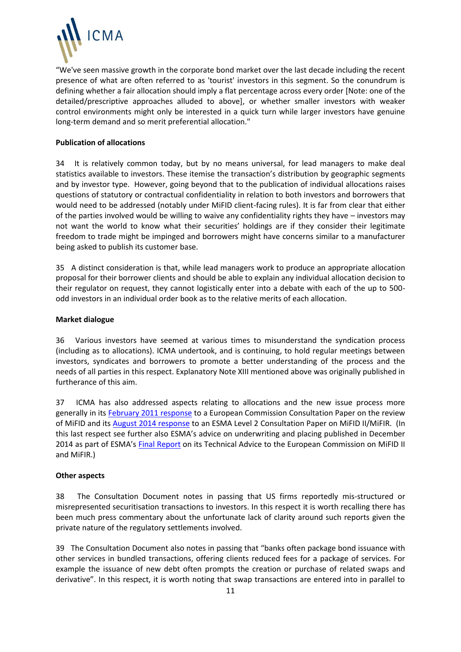

"We've seen massive growth in the corporate bond market over the last decade including the recent presence of what are often referred to as 'tourist' investors in this segment. So the conundrum is defining whether a fair allocation should imply a flat percentage across every order [Note: one of the detailed/prescriptive approaches alluded to above], or whether smaller investors with weaker control environments might only be interested in a quick turn while larger investors have genuine long-term demand and so merit preferential allocation."

### **Publication of allocations**

34 It is relatively common today, but by no means universal, for lead managers to make deal statistics available to investors. These itemise the transaction's distribution by geographic segments and by investor type. However, going beyond that to the publication of individual allocations raises questions of statutory or contractual confidentiality in relation to both investors and borrowers that would need to be addressed (notably under MiFID client-facing rules). It is far from clear that either of the parties involved would be willing to waive any confidentiality rights they have – investors may not want the world to know what their securities' holdings are if they consider their legitimate freedom to trade might be impinged and borrowers might have concerns similar to a manufacturer being asked to publish its customer base.

35 A distinct consideration is that, while lead managers work to produce an appropriate allocation proposal for their borrower clients and should be able to explain any individual allocation decision to their regulator on request, they cannot logistically enter into a debate with each of the up to 500 odd investors in an individual order book as to the relative merits of each allocation.

## **Market dialogue**

36 Various investors have seemed at various times to misunderstand the syndication process (including as to allocations). ICMA undertook, and is continuing, to hold regular meetings between investors, syndicates and borrowers to promote a better understanding of the process and the needs of all parties in this respect. Explanatory Note XIII mentioned above was originally published in furtherance of this aim.

37 ICMA has also addressed aspects relating to allocations and the new issue process more generally in it[s February 2011 response](http://www.icmagroup.org/assets/documents/Maket-Practice/Regulatory-Policy/MiFID-Related-Documents/ICMA%20response%20to%20Commission%20MiFID%20consultation%200%202%20Feb%202011%20(3).pdf) to a European Commission Consultation Paper on the review of MiFID and it[s August 2014 response](http://www.icmagroup.org/assets/documents/Maket-Practice/Regulatory-Policy/MiFID-Related-Documents/MiFID2---ICMA-Combined-Response-to-ESMA-CP-2014-08-01-(ICMA-Website-version).pdf) to an ESMA Level 2 Consultation Paper on MiFID II/MiFIR. (In this last respect see further also ESMA's advice on underwriting and placing published in December 2014 as part of ESMA's [Final Report](http://www.esma.europa.eu/system/files/2014-1569_final_report_-_esmas_technical_advice_to_the_commission_on_mifid_ii_and_mifir.pdf) on its Technical Advice to the European Commission on MiFID II and MiFIR.)

# **Other aspects**

38 The Consultation Document notes in passing that US firms reportedly mis-structured or misrepresented securitisation transactions to investors. In this respect it is worth recalling there has been much press commentary about the unfortunate lack of clarity around such reports given the private nature of the regulatory settlements involved.

39 The Consultation Document also notes in passing that "banks often package bond issuance with other services in bundled transactions, offering clients reduced fees for a package of services. For example the issuance of new debt often prompts the creation or purchase of related swaps and derivative". In this respect, it is worth noting that swap transactions are entered into in parallel to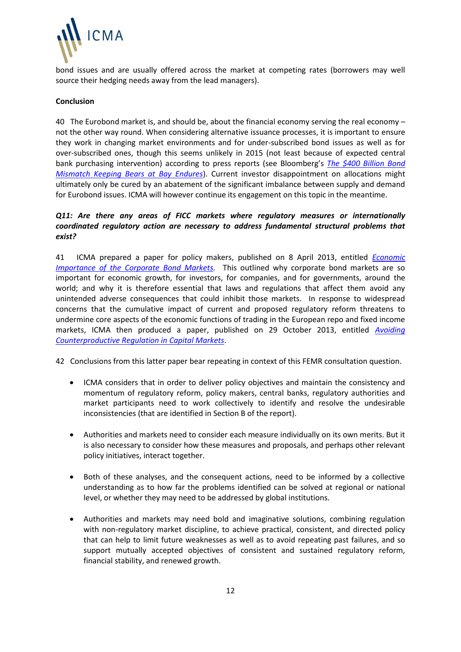

bond issues and are usually offered across the market at competing rates (borrowers may well source their hedging needs away from the lead managers).

#### **Conclusion**

40 The Eurobond market is, and should be, about the financial economy serving the real economy – not the other way round. When considering alternative issuance processes, it is important to ensure they work in changing market environments and for under-subscribed bond issues as well as for over-subscribed ones, though this seems unlikely in 2015 (not least because of expected central bank purchasing intervention) according to press reports (see Bloomberg's *[The \\$400 Billion Bond](http://www.bloomberg.com/news/2014-11-24/the-400-billion-bond-mismatch-keeping-bears-at-bay-seen-lasting.html)  [Mismatch Keeping Bears at Bay Endures](http://www.bloomberg.com/news/2014-11-24/the-400-billion-bond-mismatch-keeping-bears-at-bay-seen-lasting.html)*). Current investor disappointment on allocations might ultimately only be cured by an abatement of the significant imbalance between supply and demand for Eurobond issues. ICMA will however continue its engagement on this topic in the meantime.

## *Q11: Are there any areas of FICC markets where regulatory measures or internationally coordinated regulatory action are necessary to address fundamental structural problems that exist?*

41 ICMA prepared a paper for policy makers, published on 8 April 2013, entitled *[Economic](http://www.icmagroup.org/assets/documents/Media/Brochures/2013/Corporate-Bond-Markets-March-2013.pdf)  [Importance of the Corporate Bond Markets.](http://www.icmagroup.org/assets/documents/Media/Brochures/2013/Corporate-Bond-Markets-March-2013.pdf)* This outlined why corporate bond markets are so important for economic growth, for investors, for companies, and for governments, around the world; and why it is therefore essential that laws and regulations that affect them avoid any unintended adverse consequences that could inhibit those markets. In response to widespread concerns that the cumulative impact of current and proposed regulatory reform threatens to undermine core aspects of the economic functions of trading in the European repo and fixed income markets, ICMA then produced a paper, published on 29 October 2013, entitled *[Avoiding](http://www.icmagroup.org/assets/documents/Regulatory/Other-projects/Avoiding-Counterproductive-Regulation.pdf)  [Counterproductive Regulation in Capital Markets](http://www.icmagroup.org/assets/documents/Regulatory/Other-projects/Avoiding-Counterproductive-Regulation.pdf)*.

42 Conclusions from this latter paper bear repeating in context of this FEMR consultation question.

- ICMA considers that in order to deliver policy objectives and maintain the consistency and momentum of regulatory reform, policy makers, central banks, regulatory authorities and market participants need to work collectively to identify and resolve the undesirable inconsistencies (that are identified in Section B of the report).
- Authorities and markets need to consider each measure individually on its own merits. But it is also necessary to consider how these measures and proposals, and perhaps other relevant policy initiatives, interact together.
- Both of these analyses, and the consequent actions, need to be informed by a collective understanding as to how far the problems identified can be solved at regional or national level, or whether they may need to be addressed by global institutions.
- Authorities and markets may need bold and imaginative solutions, combining regulation with non-regulatory market discipline, to achieve practical, consistent, and directed policy that can help to limit future weaknesses as well as to avoid repeating past failures, and so support mutually accepted objectives of consistent and sustained regulatory reform, financial stability, and renewed growth.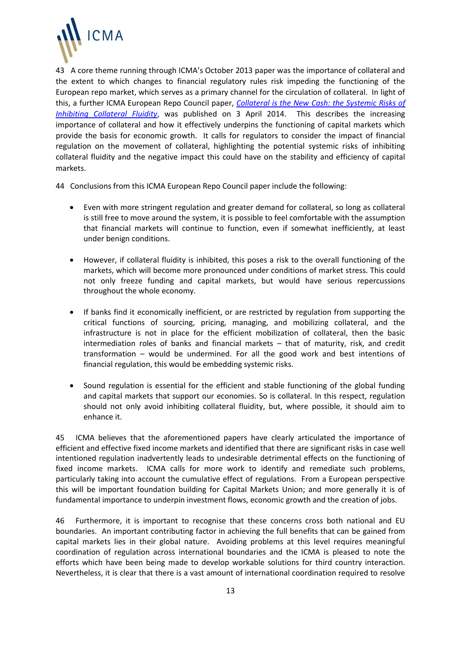

43 A core theme running through ICMA's October 2013 paper was the importance of collateral and the extent to which changes to financial regulatory rules risk impeding the functioning of the European repo market, which serves as a primary channel for the circulation of collateral. In light of this, a further ICMA European Repo Council paper, *[Collateral is the New Cash: the Systemic Risks of](http://www.icmagroup.org/assets/documents/Media/Press-releases-2014/ICMA-1403---ICMA-paper-identifes-the-systemic-risks-of-restricting-collateral-movement.pdf)  [Inhibiting Collateral Fluidity](http://www.icmagroup.org/assets/documents/Media/Press-releases-2014/ICMA-1403---ICMA-paper-identifes-the-systemic-risks-of-restricting-collateral-movement.pdf)*, was published on 3 April 2014. This describes the increasing importance of collateral and how it effectively underpins the functioning of capital markets which provide the basis for economic growth. It calls for regulators to consider the impact of financial regulation on the movement of collateral, highlighting the potential systemic risks of inhibiting collateral fluidity and the negative impact this could have on the stability and efficiency of capital markets.

44 Conclusions from this ICMA European Repo Council paper include the following:

- Even with more stringent regulation and greater demand for collateral, so long as collateral is still free to move around the system, it is possible to feel comfortable with the assumption that financial markets will continue to function, even if somewhat inefficiently, at least under benign conditions.
- However, if collateral fluidity is inhibited, this poses a risk to the overall functioning of the markets, which will become more pronounced under conditions of market stress. This could not only freeze funding and capital markets, but would have serious repercussions throughout the whole economy.
- If banks find it economically inefficient, or are restricted by regulation from supporting the critical functions of sourcing, pricing, managing, and mobilizing collateral, and the infrastructure is not in place for the efficient mobilization of collateral, then the basic intermediation roles of banks and financial markets – that of maturity, risk, and credit transformation – would be undermined. For all the good work and best intentions of financial regulation, this would be embedding systemic risks.
- Sound regulation is essential for the efficient and stable functioning of the global funding and capital markets that support our economies. So is collateral. In this respect, regulation should not only avoid inhibiting collateral fluidity, but, where possible, it should aim to enhance it.

45 ICMA believes that the aforementioned papers have clearly articulated the importance of efficient and effective fixed income markets and identified that there are significant risks in case well intentioned regulation inadvertently leads to undesirable detrimental effects on the functioning of fixed income markets. ICMA calls for more work to identify and remediate such problems, particularly taking into account the cumulative effect of regulations. From a European perspective this will be important foundation building for Capital Markets Union; and more generally it is of fundamental importance to underpin investment flows, economic growth and the creation of jobs.

46 Furthermore, it is important to recognise that these concerns cross both national and EU boundaries. An important contributing factor in achieving the full benefits that can be gained from capital markets lies in their global nature. Avoiding problems at this level requires meaningful coordination of regulation across international boundaries and the ICMA is pleased to note the efforts which have been being made to develop workable solutions for third country interaction. Nevertheless, it is clear that there is a vast amount of international coordination required to resolve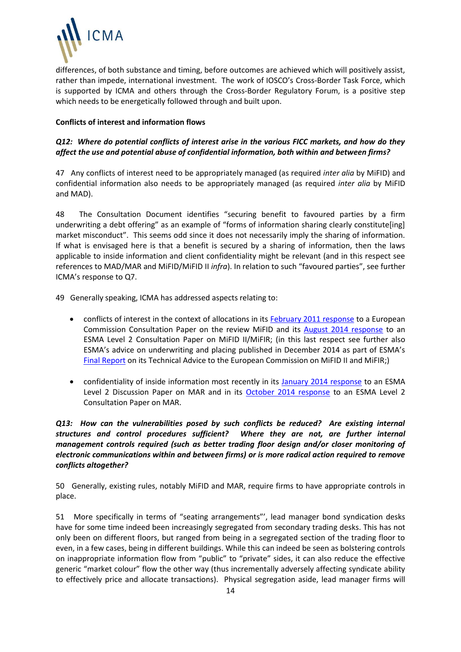

differences, of both substance and timing, before outcomes are achieved which will positively assist, rather than impede, international investment. The work of IOSCO's Cross-Border Task Force, which is supported by ICMA and others through the Cross-Border Regulatory Forum, is a positive step which needs to be energetically followed through and built upon.

## **Conflicts of interest and information flows**

# *Q12: Where do potential conflicts of interest arise in the various FICC markets, and how do they affect the use and potential abuse of confidential information, both within and between firms?*

47 Any conflicts of interest need to be appropriately managed (as required *inter alia* by MiFID) and confidential information also needs to be appropriately managed (as required *inter alia* by MiFID and MAD).

48 The Consultation Document identifies "securing benefit to favoured parties by a firm underwriting a debt offering" as an example of "forms of information sharing clearly constitute[ing] market misconduct".This seems odd since it does not necessarily imply the sharing of information. If what is envisaged here is that a benefit is secured by a sharing of information, then the laws applicable to inside information and client confidentiality might be relevant (and in this respect see references to MAD/MAR and MiFID/MiFID II *infra*). In relation to such "favoured parties", see further ICMA's response to Q7.

49 Generally speaking, ICMA has addressed aspects relating to:

- conflicts of interest in the context of allocations in its [February 2011 response](http://www.icmagroup.org/assets/documents/Maket-Practice/Regulatory-Policy/MiFID-Related-Documents/ICMA%20response%20to%20Commission%20MiFID%20consultation%200%202%20Feb%202011%20(3).pdf) to a European Commission Consultation Paper on the review MiFID and its [August 2014 response](http://www.icmagroup.org/assets/documents/Maket-Practice/Regulatory-Policy/MiFID-Related-Documents/MiFID2---ICMA-Combined-Response-to-ESMA-CP-2014-08-01-(ICMA-Website-version).pdf) to an ESMA Level 2 Consultation Paper on MiFID II/MiFIR; (in this last respect see further also ESMA's advice on underwriting and placing published in December 2014 as part of ESMA's [Final Report](http://www.esma.europa.eu/system/files/2014-1569_final_report_-_esmas_technical_advice_to_the_commission_on_mifid_ii_and_mifir.pdf) on its Technical Advice to the European Commission on MiFID II and MiFIR;)
- confidentiality of inside information most recently in its [January 2014 response](http://www.icmagroup.org/assets/documents/Maket-Practice/Regulatory-Policy/EU-Market-Abuse-Directive---related-documents/ICMA-response-to-MAR-DP-2013-11-Jan14.pdf) to an ESMA Level 2 Discussion Paper on MAR and in its [October 2014 response](http://www.icmagroup.org/assets/documents/Regulatory/Primary-Markets/MAR-L2---ICMA-PM-response-to-RTS-CP-2014-07---Draft-v12-Final.pdf) to an ESMA Level 2 Consultation Paper on MAR.

# *Q13: How can the vulnerabilities posed by such conflicts be reduced? Are existing internal structures and control procedures sufficient? Where they are not, are further internal management controls required (such as better trading floor design and/or closer monitoring of electronic communications within and between firms) or is more radical action required to remove conflicts altogether?*

50 Generally, existing rules, notably MiFID and MAR, require firms to have appropriate controls in place.

51 More specifically in terms of "seating arrangements"', lead manager bond syndication desks have for some time indeed been increasingly segregated from secondary trading desks. This has not only been on different floors, but ranged from being in a segregated section of the trading floor to even, in a few cases, being in different buildings. While this can indeed be seen as bolstering controls on inappropriate information flow from "public" to "private" sides, it can also reduce the effective generic "market colour" flow the other way (thus incrementally adversely affecting syndicate ability to effectively price and allocate transactions). Physical segregation aside, lead manager firms will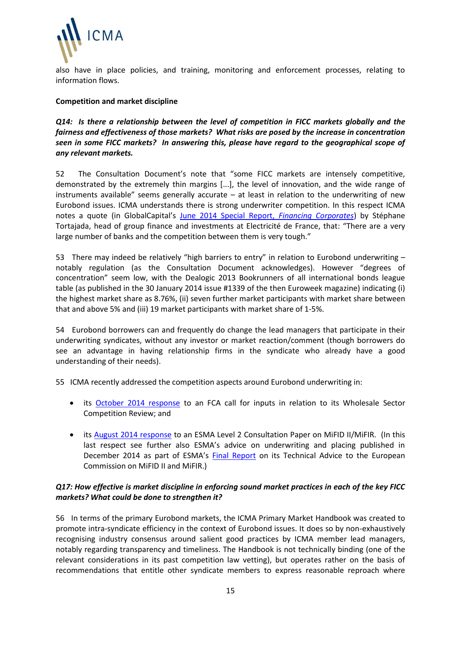

also have in place policies, and training, monitoring and enforcement processes, relating to information flows.

### **Competition and market discipline**

*Q14: Is there a relationship between the level of competition in FICC markets globally and the fairness and effectiveness of those markets? What risks are posed by the increase in concentration seen in some FICC markets? In answering this, please have regard to the geographical scope of any relevant markets.*

52 The Consultation Document's note that "some FICC markets are intensely competitive, demonstrated by the extremely thin margins [...], the level of innovation, and the wide range of instruments available" seems generally accurate  $-$  at least in relation to the underwriting of new Eurobond issues. ICMA understands there is strong underwriter competition. In this respect ICMA notes a quote (in GlobalCapital's [June 2014 Special Report,](http://cdn.globalcapital.com/Media/documents/euroweek/pdfs/Corps%202014.pdf) *Financing Corporates*) by Stéphane Tortajada, head of group finance and investments at Electricité de France, that: "There are a very large number of banks and the competition between them is very tough."

53 There may indeed be relatively "high barriers to entry" in relation to Eurobond underwriting – notably regulation (as the Consultation Document acknowledges). However "degrees of concentration" seem low, with the Dealogic 2013 Bookrunners of all international bonds league table (as published in the 30 January 2014 issue #1339 of the then Euroweek magazine) indicating (i) the highest market share as 8.76%, (ii) seven further market participants with market share between that and above 5% and (iii) 19 market participants with market share of 1-5%.

54 Eurobond borrowers can and frequently do change the lead managers that participate in their underwriting syndicates, without any investor or market reaction/comment (though borrowers do see an advantage in having relationship firms in the syndicate who already have a good understanding of their needs).

55 ICMA recently addressed the competition aspects around Eurobond underwriting in:

- its [October 2014 response](http://www.icmagroup.org/assets/documents/Regulatory/Other-projects/ICMA-response-UK-wholesale-competition-review-061014-Final.pdf) to an FCA call for inputs in relation to its Wholesale Sector Competition Review; and
- its [August 2014 response](http://www.icmagroup.org/assets/documents/Maket-Practice/Regulatory-Policy/MiFID-Related-Documents/MiFID2---ICMA-Combined-Response-to-ESMA-CP-2014-08-01-(ICMA-Website-version).pdf) to an ESMA Level 2 Consultation Paper on MiFID II/MiFIR. (In this last respect see further also ESMA's advice on underwriting and placing published in December 2014 as part of ESMA's [Final Report](http://www.esma.europa.eu/system/files/2014-1569_final_report_-_esmas_technical_advice_to_the_commission_on_mifid_ii_and_mifir.pdf) on its Technical Advice to the European Commission on MiFID II and MiFIR.)

## *Q17: How effective is market discipline in enforcing sound market practices in each of the key FICC markets? What could be done to strengthen it?*

56 In terms of the primary Eurobond markets, the ICMA Primary Market Handbook was created to promote intra-syndicate efficiency in the context of Eurobond issues. It does so by non-exhaustively recognising industry consensus around salient good practices by ICMA member lead managers, notably regarding transparency and timeliness. The Handbook is not technically binding (one of the relevant considerations in its past competition law vetting), but operates rather on the basis of recommendations that entitle other syndicate members to express reasonable reproach where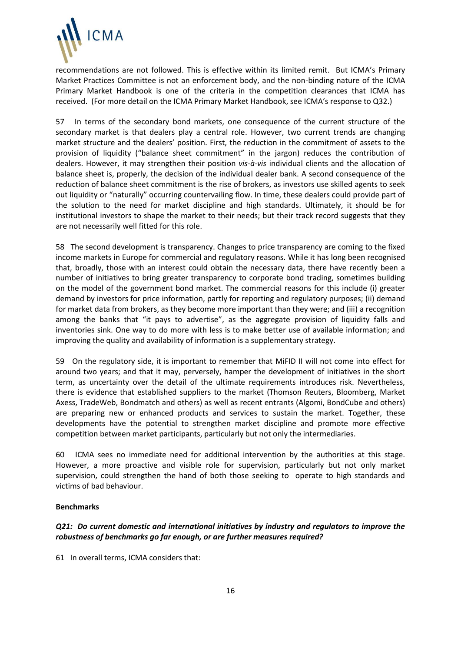

recommendations are not followed. This is effective within its limited remit. But ICMA's Primary Market Practices Committee is not an enforcement body, and the non-binding nature of the ICMA Primary Market Handbook is one of the criteria in the competition clearances that ICMA has received. (For more detail on the ICMA Primary Market Handbook, see ICMA's response to Q32.)

57 In terms of the secondary bond markets, one consequence of the current structure of the secondary market is that dealers play a central role. However, two current trends are changing market structure and the dealers' position. First, the reduction in the commitment of assets to the provision of liquidity ("balance sheet commitment" in the jargon) reduces the contribution of dealers. However, it may strengthen their position *vis-à-vis* individual clients and the allocation of balance sheet is, properly, the decision of the individual dealer bank. A second consequence of the reduction of balance sheet commitment is the rise of brokers, as investors use skilled agents to seek out liquidity or "naturally" occurring countervailing flow. In time, these dealers could provide part of the solution to the need for market discipline and high standards. Ultimately, it should be for institutional investors to shape the market to their needs; but their track record suggests that they are not necessarily well fitted for this role.

58 The second development is transparency. Changes to price transparency are coming to the fixed income markets in Europe for commercial and regulatory reasons. While it has long been recognised that, broadly, those with an interest could obtain the necessary data, there have recently been a number of initiatives to bring greater transparency to corporate bond trading, sometimes building on the model of the government bond market. The commercial reasons for this include (i) greater demand by investors for price information, partly for reporting and regulatory purposes; (ii) demand for market data from brokers, as they become more important than they were; and (iii) a recognition among the banks that "it pays to advertise", as the aggregate provision of liquidity falls and inventories sink. One way to do more with less is to make better use of available information; and improving the quality and availability of information is a supplementary strategy.

59 On the regulatory side, it is important to remember that MiFID II will not come into effect for around two years; and that it may, perversely, hamper the development of initiatives in the short term, as uncertainty over the detail of the ultimate requirements introduces risk. Nevertheless, there is evidence that established suppliers to the market (Thomson Reuters, Bloomberg, Market Axess, TradeWeb, Bondmatch and others) as well as recent entrants (Algomi, BondCube and others) are preparing new or enhanced products and services to sustain the market. Together, these developments have the potential to strengthen market discipline and promote more effective competition between market participants, particularly but not only the intermediaries.

60 ICMA sees no immediate need for additional intervention by the authorities at this stage. However, a more proactive and visible role for supervision, particularly but not only market supervision, could strengthen the hand of both those seeking to operate to high standards and victims of bad behaviour.

### **Benchmarks**

## *Q21: Do current domestic and international initiatives by industry and regulators to improve the robustness of benchmarks go far enough, or are further measures required?*

61 In overall terms, ICMA considers that: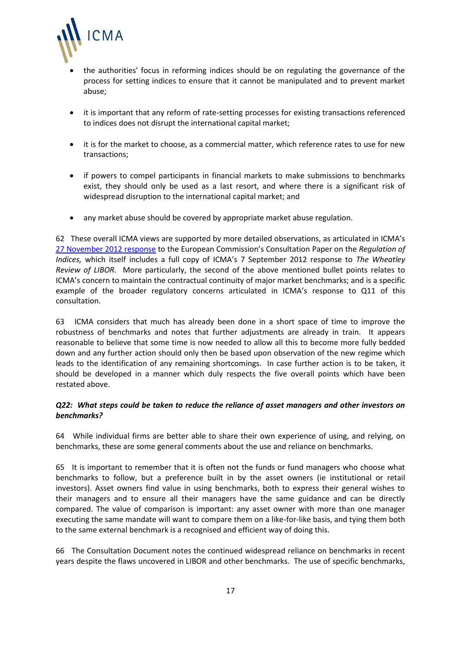

- the authorities' focus in reforming indices should be on regulating the governance of the process for setting indices to ensure that it cannot be manipulated and to prevent market abuse;
- it is important that any reform of rate-setting processes for existing transactions referenced to indices does not disrupt the international capital market;
- it is for the market to choose, as a commercial matter, which reference rates to use for new transactions;
- if powers to compel participants in financial markets to make submissions to benchmarks exist, they should only be used as a last resort, and where there is a significant risk of widespread disruption to the international capital market; and
- any market abuse should be covered by appropriate market abuse regulation.

62 These overall ICMA views are supported by more detailed observations, as articulated in ICMA's [27 November 2012 response](http://icmagroup.org/assets/documents/Regulatory/Other-projects/Commission-indices-27Nov2012.pdf) to the European Commission's Consultation Paper on the *Regulation of Indices,* which itself includes a full copy of ICMA's 7 September 2012 response to *The Wheatley Review of LIBOR*. More particularly, the second of the above mentioned bullet points relates to ICMA's concern to maintain the contractual continuity of major market benchmarks; and is a specific example of the broader regulatory concerns articulated in ICMA's response to Q11 of this consultation.

63 ICMA considers that much has already been done in a short space of time to improve the robustness of benchmarks and notes that further adjustments are already in train. It appears reasonable to believe that some time is now needed to allow all this to become more fully bedded down and any further action should only then be based upon observation of the new regime which leads to the identification of any remaining shortcomings. In case further action is to be taken, it should be developed in a manner which duly respects the five overall points which have been restated above.

# *Q22: What steps could be taken to reduce the reliance of asset managers and other investors on benchmarks?*

64 While individual firms are better able to share their own experience of using, and relying, on benchmarks, these are some general comments about the use and reliance on benchmarks.

65 It is important to remember that it is often not the funds or fund managers who choose what benchmarks to follow, but a preference built in by the asset owners (ie institutional or retail investors). Asset owners find value in using benchmarks, both to express their general wishes to their managers and to ensure all their managers have the same guidance and can be directly compared. The value of comparison is important: any asset owner with more than one manager executing the same mandate will want to compare them on a like-for-like basis, and tying them both to the same external benchmark is a recognised and efficient way of doing this.

66 The Consultation Document notes the continued widespread reliance on benchmarks in recent years despite the flaws uncovered in LIBOR and other benchmarks. The use of specific benchmarks,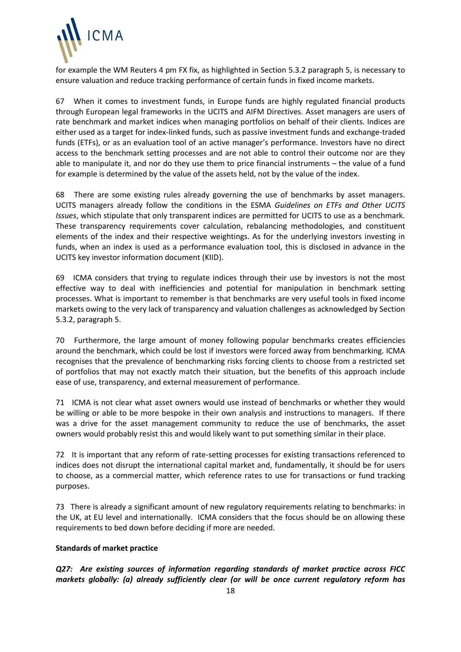

for example the WM Reuters 4 pm FX fix, as highlighted in Section 5.3.2 paragraph 5, is necessary to ensure valuation and reduce tracking performance of certain funds in fixed income markets.

67 When it comes to investment funds, in Europe funds are highly regulated financial products through European legal frameworks in the UCITS and AIFM Directives. Asset managers are users of rate benchmark and market indices when managing portfolios on behalf of their clients. Indices are either used as a target for index-linked funds, such as passive investment funds and exchange-traded funds (ETFs), or as an evaluation tool of an active manager's performance. Investors have no direct access to the benchmark setting processes and are not able to control their outcome nor are they able to manipulate it, and nor do they use them to price financial instruments – the value of a fund for example is determined by the value of the assets held, not by the value of the index.

68 There are some existing rules already governing the use of benchmarks by asset managers. UCITS managers already follow the conditions in the ESMA *Guidelines on ETFs and Other UCITS Issues*, which stipulate that only transparent indices are permitted for UCITS to use as a benchmark. These transparency requirements cover calculation, rebalancing methodologies, and constituent elements of the index and their respective weightings. As for the underlying investors investing in funds, when an index is used as a performance evaluation tool, this is disclosed in advance in the UCITS key investor information document (KIID).

69 ICMA considers that trying to regulate indices through their use by investors is not the most effective way to deal with inefficiencies and potential for manipulation in benchmark setting processes. What is important to remember is that benchmarks are very useful tools in fixed income markets owing to the very lack of transparency and valuation challenges as acknowledged by Section 5.3.2, paragraph 5.

70 Furthermore, the large amount of money following popular benchmarks creates efficiencies around the benchmark, which could be lost if investors were forced away from benchmarking. ICMA recognises that the prevalence of benchmarking risks forcing clients to choose from a restricted set of portfolios that may not exactly match their situation, but the benefits of this approach include ease of use, transparency, and external measurement of performance.

71 ICMA is not clear what asset owners would use instead of benchmarks or whether they would be willing or able to be more bespoke in their own analysis and instructions to managers. If there was a drive for the asset management community to reduce the use of benchmarks, the asset owners would probably resist this and would likely want to put something similar in their place.

72 It is important that any reform of rate-setting processes for existing transactions referenced to indices does not disrupt the international capital market and, fundamentally, it should be for users to choose, as a commercial matter, which reference rates to use for transactions or fund tracking purposes.

73 There is already a significant amount of new regulatory requirements relating to benchmarks: in the UK, at EU level and internationally. ICMA considers that the focus should be on allowing these requirements to bed down before deciding if more are needed.

# **Standards of market practice**

*Q27: Are existing sources of information regarding standards of market practice across FICC markets globally: (a) already sufficiently clear (or will be once current regulatory reform has*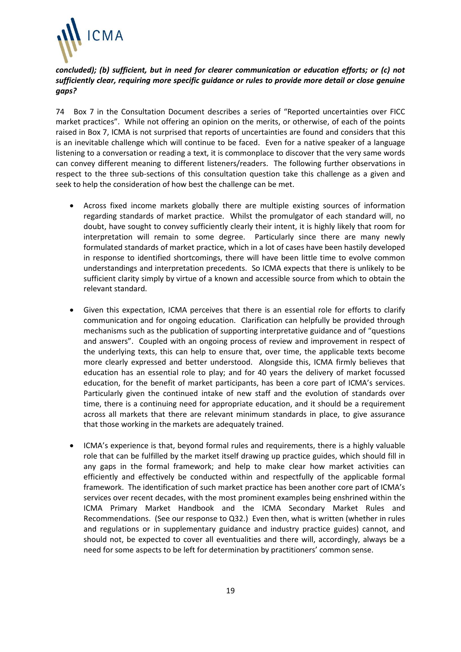

# *concluded); (b) sufficient, but in need for clearer communication or education efforts; or (c) not sufficiently clear, requiring more specific guidance or rules to provide more detail or close genuine gaps?*

74 Box 7 in the Consultation Document describes a series of "Reported uncertainties over FICC market practices". While not offering an opinion on the merits, or otherwise, of each of the points raised in Box 7, ICMA is not surprised that reports of uncertainties are found and considers that this is an inevitable challenge which will continue to be faced. Even for a native speaker of a language listening to a conversation or reading a text, it is commonplace to discover that the very same words can convey different meaning to different listeners/readers. The following further observations in respect to the three sub-sections of this consultation question take this challenge as a given and seek to help the consideration of how best the challenge can be met.

- Across fixed income markets globally there are multiple existing sources of information regarding standards of market practice. Whilst the promulgator of each standard will, no doubt, have sought to convey sufficiently clearly their intent, it is highly likely that room for interpretation will remain to some degree. Particularly since there are many newly formulated standards of market practice, which in a lot of cases have been hastily developed in response to identified shortcomings, there will have been little time to evolve common understandings and interpretation precedents. So ICMA expects that there is unlikely to be sufficient clarity simply by virtue of a known and accessible source from which to obtain the relevant standard.
- Given this expectation, ICMA perceives that there is an essential role for efforts to clarify communication and for ongoing education. Clarification can helpfully be provided through mechanisms such as the publication of supporting interpretative guidance and of "questions and answers". Coupled with an ongoing process of review and improvement in respect of the underlying texts, this can help to ensure that, over time, the applicable texts become more clearly expressed and better understood. Alongside this, ICMA firmly believes that education has an essential role to play; and for 40 years the delivery of market focussed education, for the benefit of market participants, has been a core part of ICMA's services. Particularly given the continued intake of new staff and the evolution of standards over time, there is a continuing need for appropriate education, and it should be a requirement across all markets that there are relevant minimum standards in place, to give assurance that those working in the markets are adequately trained.
- ICMA's experience is that, beyond formal rules and requirements, there is a highly valuable role that can be fulfilled by the market itself drawing up practice guides, which should fill in any gaps in the formal framework; and help to make clear how market activities can efficiently and effectively be conducted within and respectfully of the applicable formal framework. The identification of such market practice has been another core part of ICMA's services over recent decades, with the most prominent examples being enshrined within the ICMA Primary Market Handbook and the ICMA Secondary Market Rules and Recommendations. (See our response to Q32.) Even then, what is written (whether in rules and regulations or in supplementary guidance and industry practice guides) cannot, and should not, be expected to cover all eventualities and there will, accordingly, always be a need for some aspects to be left for determination by practitioners' common sense.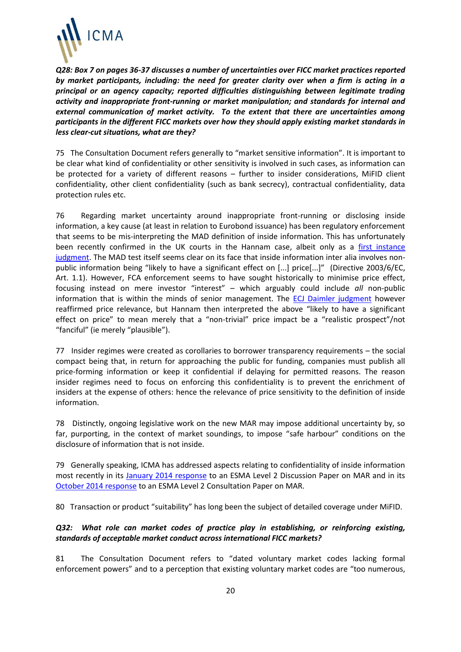

*Q28: Box 7 on pages 36-37 discusses a number of uncertainties over FICC market practices reported by market participants, including: the need for greater clarity over when a firm is acting in a principal or an agency capacity; reported difficulties distinguishing between legitimate trading activity and inappropriate front-running or market manipulation; and standards for internal and external communication of market activity. To the extent that there are uncertainties among participants in the different FICC markets over how they should apply existing market standards in less clear-cut situations, what are they?* 

75 The Consultation Document refers generally to "market sensitive information". It is important to be clear what kind of confidentiality or other sensitivity is involved in such cases, as information can be protected for a variety of different reasons – further to insider considerations, MiFID client confidentiality, other client confidentiality (such as bank secrecy), contractual confidentiality, data protection rules etc.

76 Regarding market uncertainty around inappropriate front-running or disclosing inside information, a key cause (at least in relation to Eurobond issuance) has been regulatory enforcement that seems to be mis-interpreting the MAD definition of inside information. This has unfortunately been recently confirmed in the UK courts in the Hannam case, albeit only as a [first instance](http://www.tribunals.gov.uk/financeandtax/Documents/decisions/Hannam-v-FCA.pdf)  [judgment.](http://www.tribunals.gov.uk/financeandtax/Documents/decisions/Hannam-v-FCA.pdf) The MAD test itself seems clear on its face that inside information inter alia involves nonpublic information being "likely to have a significant effect on [...] price[...]" (Directive 2003/6/EC, Art. 1.1). However, FCA enforcement seems to have sought historically to minimise price effect, focusing instead on mere investor "interest" – which arguably could include *all* non-public information that is within the minds of senior management. The **ECJ Daimler judgment** however reaffirmed price relevance, but Hannam then interpreted the above "likely to have a significant effect on price" to mean merely that a "non-trivial" price impact be a "realistic prospect"/not "fanciful" (ie merely "plausible").

77 Insider regimes were created as corollaries to borrower transparency requirements – the social compact being that, in return for approaching the public for funding, companies must publish all price-forming information or keep it confidential if delaying for permitted reasons. The reason insider regimes need to focus on enforcing this confidentiality is to prevent the enrichment of insiders at the expense of others: hence the relevance of price sensitivity to the definition of inside information.

78 Distinctly, ongoing legislative work on the new MAR may impose additional uncertainty by, so far, purporting, in the context of market soundings, to impose "safe harbour" conditions on the disclosure of information that is not inside.

79 Generally speaking, ICMA has addressed aspects relating to confidentiality of inside information most recently in its [January 2014 response](http://www.icmagroup.org/assets/documents/Maket-Practice/Regulatory-Policy/EU-Market-Abuse-Directive---related-documents/ICMA-response-to-MAR-DP-2013-11-Jan14.pdf) to an ESMA Level 2 Discussion Paper on MAR and in its [October 2014 response](http://www.icmagroup.org/assets/documents/Regulatory/Primary-Markets/MAR-L2---ICMA-PM-response-to-RTS-CP-2014-07---Draft-v12-Final.pdf) to an ESMA Level 2 Consultation Paper on MAR.

80 Transaction or product "suitability" has long been the subject of detailed coverage under MiFID.

# *Q32: What role can market codes of practice play in establishing, or reinforcing existing, standards of acceptable market conduct across international FICC markets?*

81 The Consultation Document refers to "dated voluntary market codes lacking formal enforcement powers" and to a perception that existing voluntary market codes are "too numerous,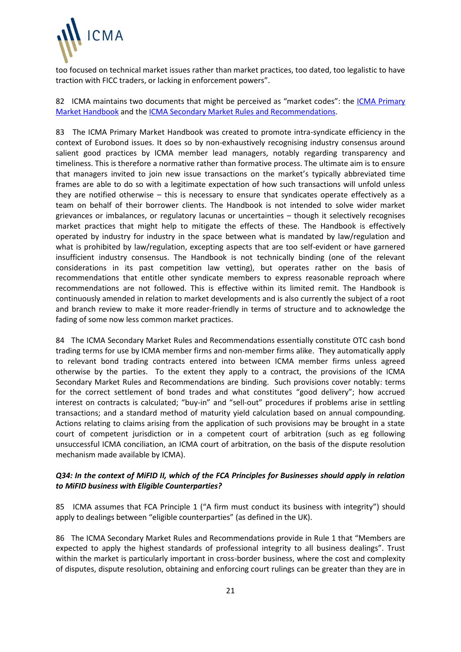

too focused on technical market issues rather than market practices, too dated, too legalistic to have traction with FICC traders, or lacking in enforcement powers".

82 ICMA maintains two documents that might be perceived as "market codes": the ICMA Primary [Market Handbook](http://www.icmagroup.org/Regulatory-Policy-and-Market-Practice/Primary-Markets/ipma-handbook-home/) and the [ICMA Secondary Market Rules and Recommendations.](http://icmagroup.org/Regulatory-Policy-and-Market-Practice/Secondary-Markets/ICMA-Rule-Book/)

83 The ICMA Primary Market Handbook was created to promote intra-syndicate efficiency in the context of Eurobond issues. It does so by non-exhaustively recognising industry consensus around salient good practices by ICMA member lead managers, notably regarding transparency and timeliness. This is therefore a normative rather than formative process. The ultimate aim is to ensure that managers invited to join new issue transactions on the market's typically abbreviated time frames are able to do so with a legitimate expectation of how such transactions will unfold unless they are notified otherwise – this is necessary to ensure that syndicates operate effectively as a team on behalf of their borrower clients. The Handbook is not intended to solve wider market grievances or imbalances, or regulatory lacunas or uncertainties – though it selectively recognises market practices that might help to mitigate the effects of these. The Handbook is effectively operated by industry for industry in the space between what is mandated by law/regulation and what is prohibited by law/regulation, excepting aspects that are too self-evident or have garnered insufficient industry consensus. The Handbook is not technically binding (one of the relevant considerations in its past competition law vetting), but operates rather on the basis of recommendations that entitle other syndicate members to express reasonable reproach where recommendations are not followed. This is effective within its limited remit. The Handbook is continuously amended in relation to market developments and is also currently the subject of a root and branch review to make it more reader-friendly in terms of structure and to acknowledge the fading of some now less common market practices.

84 The ICMA Secondary Market Rules and Recommendations essentially constitute OTC cash bond trading terms for use by ICMA member firms and non-member firms alike. They automatically apply to relevant bond trading contracts entered into between ICMA member firms unless agreed otherwise by the parties. To the extent they apply to a contract, the provisions of the ICMA Secondary Market Rules and Recommendations are binding. Such provisions cover notably: terms for the correct settlement of bond trades and what constitutes "good delivery"; how accrued interest on contracts is calculated; "buy-in" and "sell-out" procedures if problems arise in settling transactions; and a standard method of maturity yield calculation based on annual compounding. Actions relating to claims arising from the application of such provisions may be brought in a state court of competent jurisdiction or in a competent court of arbitration (such as eg following unsuccessful ICMA conciliation, an ICMA court of arbitration, on the basis of the dispute resolution mechanism made available by ICMA).

## *Q34: In the context of MiFID II, which of the FCA Principles for Businesses should apply in relation to MiFID business with Eligible Counterparties?*

85 ICMA assumes that FCA Principle 1 ("A firm must conduct its business with integrity") should apply to dealings between "eligible counterparties" (as defined in the UK).

86 The ICMA Secondary Market Rules and Recommendations provide in Rule 1 that "Members are expected to apply the highest standards of professional integrity to all business dealings". Trust within the market is particularly important in cross-border business, where the cost and complexity of disputes, dispute resolution, obtaining and enforcing court rulings can be greater than they are in